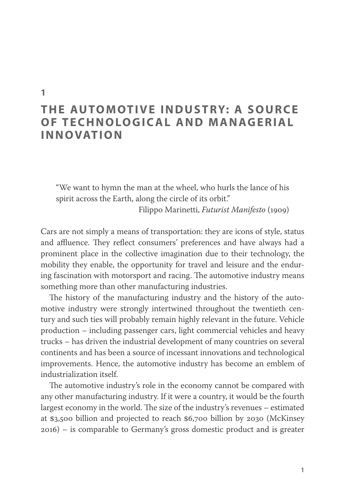# **THE AUTOMOTIVE INDUSTRY: A SOURCE OF TECHNOLOGICAL AND MANAGERIAL INNOVATION**

"We want to hymn the man at the wheel, who hurls the lance of his spirit across the Earth, along the circle of its orbit."

Filippo Marinetti, *Futurist Manifesto* (1909)

Cars are not simply a means of transportation: they are icons of style, status and affluence. They reflect consumers' preferences and have always had a prominent place in the collective imagination due to their technology, the mobility they enable, the opportunity for travel and leisure and the enduring fascination with motorsport and racing. The automotive industry means something more than other manufacturing industries.

The history of the manufacturing industry and the history of the automotive industry were strongly intertwined throughout the twentieth century and such ties will probably remain highly relevant in the future. Vehicle production – including passenger cars, light commercial vehicles and heavy trucks – has driven the industrial development of many countries on several continents and has been a source of incessant innovations and technological improvements. Hence, the automotive industry has become an emblem of industrialization itself.

The automotive industry's role in the economy cannot be compared with any other manufacturing industry. If it were a country, it would be the fourth largest economy in the world. The size of the industry's revenues – estimated at \$3,500 billion and projected to reach \$6,700 billion by 2030 (McKinsey 2016) – is comparable to Germany's gross domestic product and is greater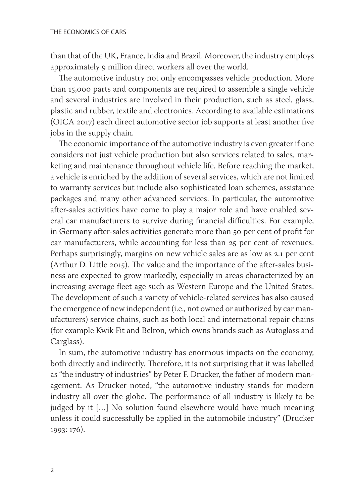than that of the UK, France, India and Brazil. Moreover, the industry employs approximately 9 million direct workers all over the world.

The automotive industry not only encompasses vehicle production. More than 15,000 parts and components are required to assemble a single vehicle and several industries are involved in their production, such as steel, glass, plastic and rubber, textile and electronics. According to available estimations (OICA 2017) each direct automotive sector job supports at least another five jobs in the supply chain.

The economic importance of the automotive industry is even greater if one considers not just vehicle production but also services related to sales, marketing and maintenance throughout vehicle life. Before reaching the market, a vehicle is enriched by the addition of several services, which are not limited to warranty services but include also sophisticated loan schemes, assistance packages and many other advanced services. In particular, the automotive after-sales activities have come to play a major role and have enabled several car manufacturers to survive during financial difficulties. For example, in Germany after-sales activities generate more than 50 per cent of profit for car manufacturers, while accounting for less than 25 per cent of revenues. Perhaps surprisingly, margins on new vehicle sales are as low as 2.1 per cent (Arthur D. Little 2015). The value and the importance of the after-sales business are expected to grow markedly, especially in areas characterized by an increasing average fleet age such as Western Europe and the United States. The development of such a variety of vehicle-related services has also caused the emergence of new independent (i.e., not owned or authorized by car manufacturers) service chains, such as both local and international repair chains (for example Kwik Fit and Belron, which owns brands such as Autoglass and Carglass).

In sum, the automotive industry has enormous impacts on the economy, both directly and indirectly. Therefore, it is not surprising that it was labelled as "the industry of industries" by Peter F. Drucker, the father of modern management. As Drucker noted, "the automotive industry stands for modern industry all over the globe. The performance of all industry is likely to be judged by it […] No solution found elsewhere would have much meaning unless it could successfully be applied in the automobile industry" (Drucker 1993: 176).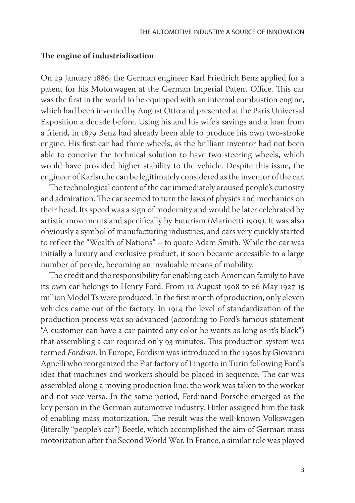#### **The engine of industrialization**

On 29 January 1886, the German engineer Karl Friedrich Benz applied for a patent for his Motorwagen at the German Imperial Patent Office. This car was the first in the world to be equipped with an internal combustion engine, which had been invented by August Otto and presented at the Paris Universal Exposition a decade before. Using his and his wife's savings and a loan from a friend, in 1879 Benz had already been able to produce his own two-stroke engine. His first car had three wheels, as the brilliant inventor had not been able to conceive the technical solution to have two steering wheels, which would have provided higher stability to the vehicle. Despite this issue, the engineer of Karlsruhe can be legitimately considered as the inventor of the car.

The technological content of the car immediately aroused people's curiosity and admiration. The car seemed to turn the laws of physics and mechanics on their head. Its speed was a sign of modernity and would be later celebrated by artistic movements and specifically by Futurism (Marinetti 1909). It was also obviously a symbol of manufacturing industries, and cars very quickly started to reflect the "Wealth of Nations" – to quote Adam Smith. While the car was initially a luxury and exclusive product, it soon became accessible to a large number of people, becoming an invaluable means of mobility.

The credit and the responsibility for enabling each American family to have its own car belongs to Henry Ford. From 12 August 1908 to 26 May 1927 15 million Model Ts were produced. In the first month of production, only eleven vehicles came out of the factory. In 1914 the level of standardization of the production process was so advanced (according to Ford's famous statement "A customer can have a car painted any color he wants as long as it's black") that assembling a car required only 93 minutes. This production system was termed *Fordism*. In Europe, Fordism was introduced in the 1930s by Giovanni Agnelli who reorganized the Fiat factory of Lingotto in Turin following Ford's idea that machines and workers should be placed in sequence. The car was assembled along a moving production line: the work was taken to the worker and not vice versa. In the same period, Ferdinand Porsche emerged as the key person in the German automotive industry. Hitler assigned him the task of enabling mass motorization. The result was the well-known Volkswagen (literally "people's car") Beetle, which accomplished the aim of German mass motorization after the Second World War. In France, a similar role was played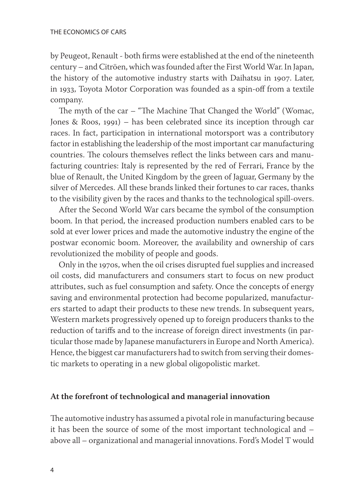by Peugeot, Renault - both firms were established at the end of the nineteenth century – and Citröen, which was founded after the First World War. In Japan, the history of the automotive industry starts with Daihatsu in 1907. Later, in 1933, Toyota Motor Corporation was founded as a spin-off from a textile company.

The myth of the car – "The Machine That Changed the World" (Womac, Jones & Roos, 1991) – has been celebrated since its inception through car races. In fact, participation in international motorsport was a contributory factor in establishing the leadership of the most important car manufacturing countries. The colours themselves reflect the links between cars and manufacturing countries: Italy is represented by the red of Ferrari, France by the blue of Renault, the United Kingdom by the green of Jaguar, Germany by the silver of Mercedes. All these brands linked their fortunes to car races, thanks to the visibility given by the races and thanks to the technological spill-overs.

After the Second World War cars became the symbol of the consumption boom. In that period, the increased production numbers enabled cars to be sold at ever lower prices and made the automotive industry the engine of the postwar economic boom. Moreover, the availability and ownership of cars revolutionized the mobility of people and goods.

Only in the 1970s, when the oil crises disrupted fuel supplies and increased oil costs, did manufacturers and consumers start to focus on new product attributes, such as fuel consumption and safety. Once the concepts of energy saving and environmental protection had become popularized, manufacturers started to adapt their products to these new trends. In subsequent years, Western markets progressively opened up to foreign producers thanks to the reduction of tariffs and to the increase of foreign direct investments (in particular those made by Japanese manufacturers in Europe and North America). Hence, the biggest car manufacturers had to switch from serving their domestic markets to operating in a new global oligopolistic market.

## **At the forefront of technological and managerial innovation**

The automotive industry has assumed a pivotal role in manufacturing because it has been the source of some of the most important technological and – above all – organizational and managerial innovations. Ford's Model T would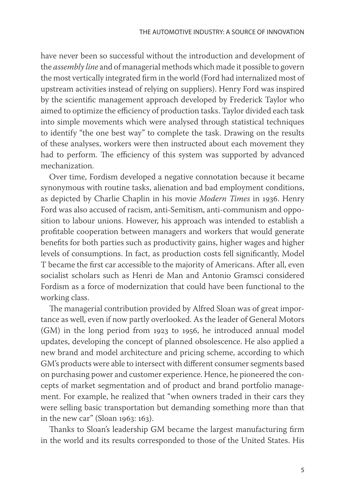have never been so successful without the introduction and development of the *assembly line* and of managerial methods which made it possible to govern the most vertically integrated firm in the world (Ford had internalized most of upstream activities instead of relying on suppliers). Henry Ford was inspired by the scientific management approach developed by Frederick Taylor who aimed to optimize the efficiency of production tasks. Taylor divided each task into simple movements which were analysed through statistical techniques to identify "the one best way" to complete the task. Drawing on the results of these analyses, workers were then instructed about each movement they had to perform. The efficiency of this system was supported by advanced mechanization.

Over time, Fordism developed a negative connotation because it became synonymous with routine tasks, alienation and bad employment conditions, as depicted by Charlie Chaplin in his movie *Modern Times* in 1936. Henry Ford was also accused of racism, anti-Semitism, anti-communism and opposition to labour unions. However, his approach was intended to establish a profitable cooperation between managers and workers that would generate benefits for both parties such as productivity gains, higher wages and higher levels of consumptions. In fact, as production costs fell significantly, Model T became the first car accessible to the majority of Americans. After all, even socialist scholars such as Henri de Man and Antonio Gramsci considered Fordism as a force of modernization that could have been functional to the working class.

The managerial contribution provided by Alfred Sloan was of great importance as well, even if now partly overlooked. As the leader of General Motors (GM) in the long period from 1923 to 1956, he introduced annual model updates, developing the concept of planned obsolescence. He also applied a new brand and model architecture and pricing scheme, according to which GM's products were able to intersect with different consumer segments based on purchasing power and customer experience. Hence, he pioneered the concepts of market segmentation and of product and brand portfolio management. For example, he realized that "when owners traded in their cars they were selling basic transportation but demanding something more than that in the new car" (Sloan 1963: 163).

Thanks to Sloan's leadership GM became the largest manufacturing firm in the world and its results corresponded to those of the United States. His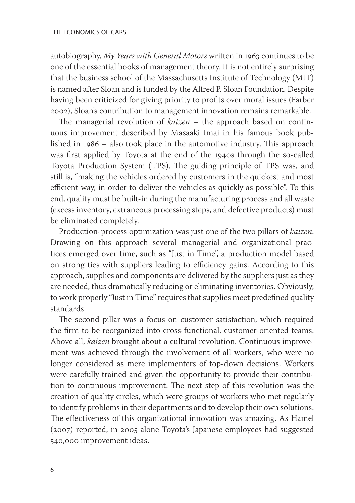autobiography, *My Years with General Motors* written in 1963 continues to be one of the essential books of management theory. It is not entirely surprising that the business school of the Massachusetts Institute of Technology (MIT) is named after Sloan and is funded by the Alfred P. Sloan Foundation. Despite having been criticized for giving priority to profits over moral issues (Farber 2002), Sloan's contribution to management innovation remains remarkable.

The managerial revolution of *kaizen* – the approach based on continuous improvement described by Masaaki Imai in his famous book published in 1986 – also took place in the automotive industry. This approach was first applied by Toyota at the end of the 1940s through the so-called Toyota Production System (TPS). The guiding principle of TPS was, and still is, "making the vehicles ordered by customers in the quickest and most efficient way, in order to deliver the vehicles as quickly as possible". To this end, quality must be built-in during the manufacturing process and all waste (excess inventory, extraneous processing steps, and defective products) must be eliminated completely.

Production-process optimization was just one of the two pillars of *kaizen*. Drawing on this approach several managerial and organizational practices emerged over time, such as "Just in Time", a production model based on strong ties with suppliers leading to efficiency gains. According to this approach, supplies and components are delivered by the suppliers just as they are needed, thus dramatically reducing or eliminating inventories. Obviously, to work properly "Just in Time" requires that supplies meet predefined quality standards.

The second pillar was a focus on customer satisfaction, which required the firm to be reorganized into cross-functional, customer-oriented teams. Above all, *kaizen* brought about a cultural revolution. Continuous improvement was achieved through the involvement of all workers, who were no longer considered as mere implementers of top-down decisions. Workers were carefully trained and given the opportunity to provide their contribution to continuous improvement. The next step of this revolution was the creation of quality circles, which were groups of workers who met regularly to identify problems in their departments and to develop their own solutions. The effectiveness of this organizational innovation was amazing. As Hamel (2007) reported, in 2005 alone Toyota's Japanese employees had suggested 540,000 improvement ideas.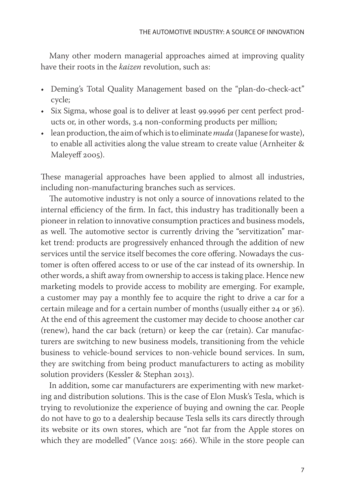Many other modern managerial approaches aimed at improving quality have their roots in the *kaizen* revolution, such as:

- Deming's Total Quality Management based on the "plan-do-check-act" cycle;
- Six Sigma, whose goal is to deliver at least 99.9996 per cent perfect products or, in other words, 3.4 non-conforming products per million;
- lean production, the aim of which is to eliminate *muda* (Japanese for waste), to enable all activities along the value stream to create value (Arnheiter & Maleyeff 2005).

These managerial approaches have been applied to almost all industries, including non-manufacturing branches such as services.

The automotive industry is not only a source of innovations related to the internal efficiency of the firm. In fact, this industry has traditionally been a pioneer in relation to innovative consumption practices and business models, as well. The automotive sector is currently driving the "servitization" market trend: products are progressively enhanced through the addition of new services until the service itself becomes the core offering. Nowadays the customer is often offered access to or use of the car instead of its ownership. In other words, a shift away from ownership to access is taking place. Hence new marketing models to provide access to mobility are emerging. For example, a customer may pay a monthly fee to acquire the right to drive a car for a certain mileage and for a certain number of months (usually either 24 or 36). At the end of this agreement the customer may decide to choose another car (renew), hand the car back (return) or keep the car (retain). Car manufacturers are switching to new business models, transitioning from the vehicle business to vehicle-bound services to non-vehicle bound services. In sum, they are switching from being product manufacturers to acting as mobility solution providers (Kessler & Stephan 2013).

In addition, some car manufacturers are experimenting with new marketing and distribution solutions. This is the case of Elon Musk's Tesla, which is trying to revolutionize the experience of buying and owning the car. People do not have to go to a dealership because Tesla sells its cars directly through its website or its own stores, which are "not far from the Apple stores on which they are modelled" (Vance 2015: 266). While in the store people can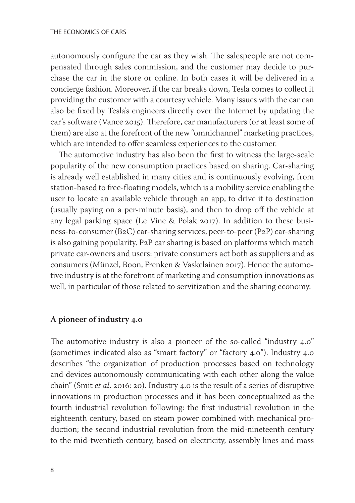autonomously configure the car as they wish. The salespeople are not compensated through sales commission, and the customer may decide to purchase the car in the store or online. In both cases it will be delivered in a concierge fashion. Moreover, if the car breaks down, Tesla comes to collect it providing the customer with a courtesy vehicle. Many issues with the car can also be fixed by Tesla's engineers directly over the Internet by updating the car's software (Vance 2015). Therefore, car manufacturers (or at least some of them) are also at the forefront of the new "omnichannel" marketing practices, which are intended to offer seamless experiences to the customer.

The automotive industry has also been the first to witness the large-scale popularity of the new consumption practices based on sharing. Car-sharing is already well established in many cities and is continuously evolving, from station-based to free-floating models, which is a mobility service enabling the user to locate an available vehicle through an app, to drive it to destination (usually paying on a per-minute basis), and then to drop off the vehicle at any legal parking space (Le Vine & Polak 2017). In addition to these business-to-consumer (B2C) car-sharing services, peer-to-peer (P2P) car-sharing is also gaining popularity. P2P car sharing is based on platforms which match private car-owners and users: private consumers act both as suppliers and as consumers (Münzel, Boon, Frenken & Vaskelainen 2017). Hence the automotive industry is at the forefront of marketing and consumption innovations as well, in particular of those related to servitization and the sharing economy.

### **A pioneer of industry 4.0**

The automotive industry is also a pioneer of the so-called "industry 4.0" (sometimes indicated also as "smart factory" or "factory 4.0"). Industry 4.0 describes "the organization of production processes based on technology and devices autonomously communicating with each other along the value chain" (Smit *et al*. 2016: 20). Industry 4.0 is the result of a series of disruptive innovations in production processes and it has been conceptualized as the fourth industrial revolution following: the first industrial revolution in the eighteenth century, based on steam power combined with mechanical production; the second industrial revolution from the mid-nineteenth century to the mid-twentieth century, based on electricity, assembly lines and mass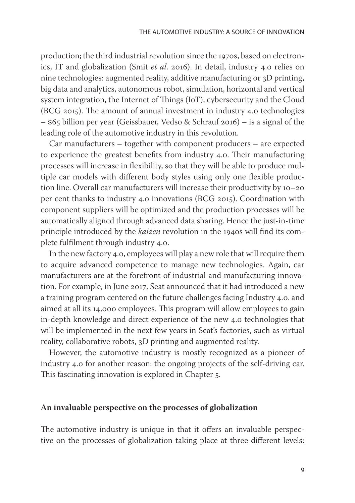production; the third industrial revolution since the 1970s, based on electronics, IT and globalization (Smit *et al*. 2016). In detail, industry 4.0 relies on nine technologies: augmented reality, additive manufacturing or 3D printing, big data and analytics, autonomous robot, simulation, horizontal and vertical system integration, the Internet of Things (IoT), cybersecurity and the Cloud (BCG 2015). The amount of annual investment in industry 4.0 technologies – \$65 billion per year (Geissbauer, Vedso & Schrauf 2016) – is a signal of the leading role of the automotive industry in this revolution.

Car manufacturers – together with component producers – are expected to experience the greatest benefits from industry 4.0. Their manufacturing processes will increase in flexibility, so that they will be able to produce multiple car models with different body styles using only one flexible production line. Overall car manufacturers will increase their productivity by 10–20 per cent thanks to industry 4.0 innovations (BCG 2015). Coordination with component suppliers will be optimized and the production processes will be automatically aligned through advanced data sharing. Hence the just-in-time principle introduced by the *kaizen* revolution in the 1940s will find its complete fulfilment through industry 4.0.

In the new factory 4.0, employees will play a new role that will require them to acquire advanced competence to manage new technologies. Again, car manufacturers are at the forefront of industrial and manufacturing innovation. For example, in June 2017, Seat announced that it had introduced a new a training program centered on the future challenges facing Industry 4.0. and aimed at all its 14,000 employees. This program will allow employees to gain in-depth knowledge and direct experience of the new 4.0 technologies that will be implemented in the next few years in Seat's factories, such as virtual reality, collaborative robots, 3D printing and augmented reality.

However, the automotive industry is mostly recognized as a pioneer of industry 4.0 for another reason: the ongoing projects of the self-driving car. This fascinating innovation is explored in Chapter 5.

## **An invaluable perspective on the processes of globalization**

The automotive industry is unique in that it offers an invaluable perspective on the processes of globalization taking place at three different levels: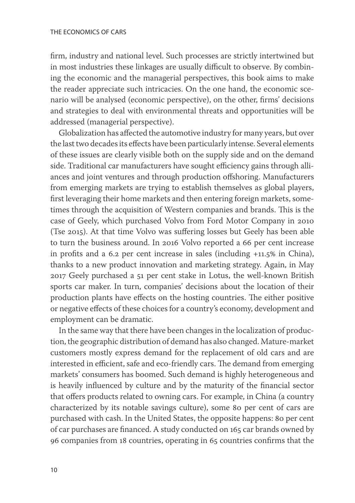firm, industry and national level. Such processes are strictly intertwined but in most industries these linkages are usually difficult to observe. By combining the economic and the managerial perspectives, this book aims to make the reader appreciate such intricacies. On the one hand, the economic scenario will be analysed (economic perspective), on the other, firms' decisions and strategies to deal with environmental threats and opportunities will be addressed (managerial perspective).

Globalization has affected the automotive industry for many years, but over the last two decades its effects have been particularly intense. Several elements of these issues are clearly visible both on the supply side and on the demand side. Traditional car manufacturers have sought efficiency gains through alliances and joint ventures and through production offshoring. Manufacturers from emerging markets are trying to establish themselves as global players, first leveraging their home markets and then entering foreign markets, sometimes through the acquisition of Western companies and brands. This is the case of Geely, which purchased Volvo from Ford Motor Company in 2010 (Tse 2015). At that time Volvo was suffering losses but Geely has been able to turn the business around. In 2016 Volvo reported a 66 per cent increase in profits and a 6.2 per cent increase in sales (including +11.5% in China), thanks to a new product innovation and marketing strategy. Again, in May 2017 Geely purchased a 51 per cent stake in Lotus, the well-known British sports car maker. In turn, companies' decisions about the location of their production plants have effects on the hosting countries. The either positive or negative effects of these choices for a country's economy, development and employment can be dramatic.

In the same way that there have been changes in the localization of production, the geographic distribution of demand has also changed. Mature-market customers mostly express demand for the replacement of old cars and are interested in efficient, safe and eco-friendly cars. The demand from emerging markets' consumers has boomed. Such demand is highly heterogeneous and is heavily influenced by culture and by the maturity of the financial sector that offers products related to owning cars. For example, in China (a country characterized by its notable savings culture), some 80 per cent of cars are purchased with cash. In the United States, the opposite happens: 80 per cent of car purchases are financed. A study conducted on 165 car brands owned by 96 companies from 18 countries, operating in 65 countries confirms that the